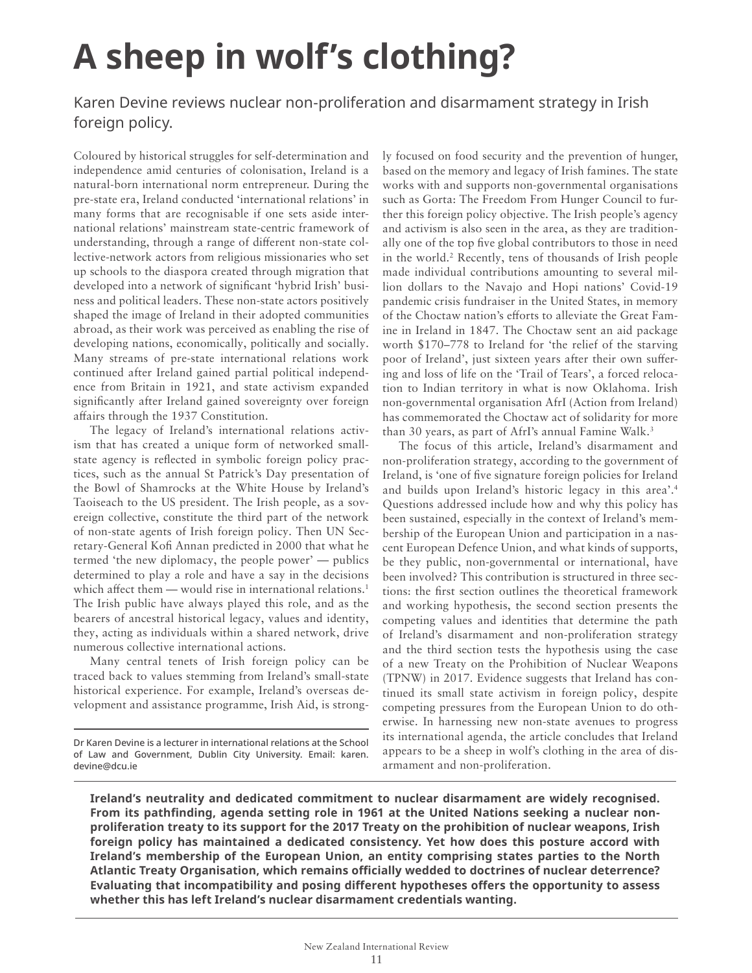# **A sheep in wolf's clothing?**

Karen Devine reviews nuclear non-proliferation and disarmament strategy in Irish foreign policy.

Coloured by historical struggles for self-determination and independence amid centuries of colonisation, Ireland is a natural-born international norm entrepreneur. During the pre-state era, Ireland conducted 'international relations' in many forms that are recognisable if one sets aside international relations' mainstream state-centric framework of understanding, through a range of different non-state collective-network actors from religious missionaries who set up schools to the diaspora created through migration that developed into a network of significant 'hybrid Irish' business and political leaders. These non-state actors positively shaped the image of Ireland in their adopted communities abroad, as their work was perceived as enabling the rise of developing nations, economically, politically and socially. Many streams of pre-state international relations work continued after Ireland gained partial political independence from Britain in 1921, and state activism expanded significantly after Ireland gained sovereignty over foreign affairs through the 1937 Constitution.

The legacy of Ireland's international relations activism that has created a unique form of networked smallstate agency is reflected in symbolic foreign policy practices, such as the annual St Patrick's Day presentation of the Bowl of Shamrocks at the White House by Ireland's Taoiseach to the US president. The Irish people, as a sovereign collective, constitute the third part of the network of non-state agents of Irish foreign policy. Then UN Secretary-General Kofi Annan predicted in 2000 that what he termed 'the new diplomacy, the people power' — publics determined to play a role and have a say in the decisions which affect them — would rise in international relations.<sup>1</sup> The Irish public have always played this role, and as the bearers of ancestral historical legacy, values and identity, they, acting as individuals within a shared network, drive numerous collective international actions.

Many central tenets of Irish foreign policy can be traced back to values stemming from Ireland's small-state historical experience. For example, Ireland's overseas development and assistance programme, Irish Aid, is strongly focused on food security and the prevention of hunger, based on the memory and legacy of Irish famines. The state works with and supports non-governmental organisations such as Gorta: The Freedom From Hunger Council to further this foreign policy objective. The Irish people's agency and activism is also seen in the area, as they are traditionally one of the top five global contributors to those in need in the world.<sup>2</sup> Recently, tens of thousands of Irish people made individual contributions amounting to several million dollars to the Navajo and Hopi nations' Covid-19 pandemic crisis fundraiser in the United States, in memory of the Choctaw nation's efforts to alleviate the Great Famine in Ireland in 1847. The Choctaw sent an aid package worth \$170–778 to Ireland for 'the relief of the starving poor of Ireland', just sixteen years after their own suffering and loss of life on the 'Trail of Tears', a forced relocation to Indian territory in what is now Oklahoma. Irish non-governmental organisation AfrI (Action from Ireland) has commemorated the Choctaw act of solidarity for more than 30 years, as part of AfrI's annual Famine Walk. 3

The focus of this article, Ireland's disarmament and non-proliferation strategy, according to the government of Ireland, is 'one of five signature foreign policies for Ireland and builds upon Ireland's historic legacy in this area'.<sup>4</sup> Questions addressed include how and why this policy has been sustained, especially in the context of Ireland's membership of the European Union and participation in a nascent European Defence Union, and what kinds of supports, be they public, non-governmental or international, have been involved? This contribution is structured in three sections: the first section outlines the theoretical framework and working hypothesis, the second section presents the competing values and identities that determine the path of Ireland's disarmament and non-proliferation strategy and the third section tests the hypothesis using the case of a new Treaty on the Prohibition of Nuclear Weapons (TPNW) in 2017. Evidence suggests that Ireland has continued its small state activism in foreign policy, despite competing pressures from the European Union to do otherwise. In harnessing new non-state avenues to progress its international agenda, the article concludes that Ireland appears to be a sheep in wolf's clothing in the area of disarmament and non-proliferation.

Ireland's neutrality and dedicated commitment to nuclear disarmament are widely recognised. From its pathfinding, agenda setting role in 1961 at the United Nations seeking a nuclear non**proliferation treaty to its support for the 2017 Treaty on the prohibition of nuclear weapons, Irish**  foreign policy has maintained a dedicated consistency. Yet how does this posture accord with **Ireland's membership of the European Union, an entity comprising states parties to the North**  Atlantic Treaty Organisation, which remains officially wedded to doctrines of nuclear deterrence? Evaluating that incompatibility and posing different hypotheses offers the opportunity to assess whether this has left Ireland's nuclear disarmament credentials wanting.

Dr Karen Devine is a lecturer in international relations at the School of Law and Government, Dublin City University. Email: karen. devine@dcu.ie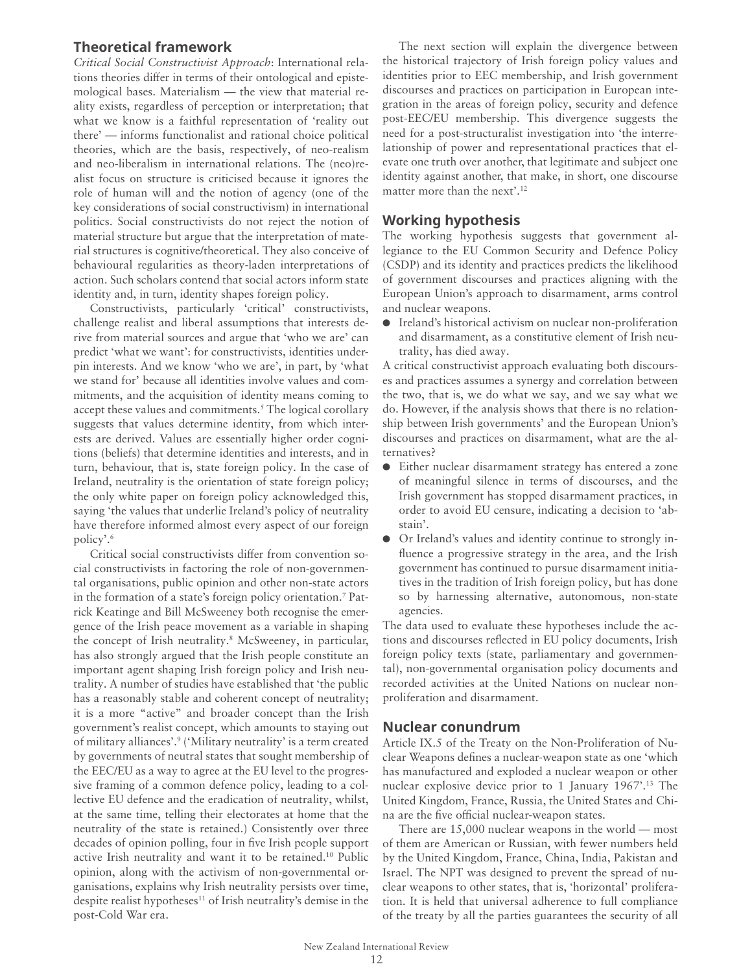## **Theoretical framework**

*Critical Social Constructivist Approach*: International relations theories differ in terms of their ontological and epistemological bases. Materialism — the view that material reality exists, regardless of perception or interpretation; that what we know is a faithful representation of 'reality out there' — informs functionalist and rational choice political theories, which are the basis, respectively, of neo-realism and neo-liberalism in international relations. The (neo)realist focus on structure is criticised because it ignores the role of human will and the notion of agency (one of the key considerations of social constructivism) in international politics. Social constructivists do not reject the notion of material structure but argue that the interpretation of material structures is cognitive/theoretical. They also conceive of behavioural regularities as theory-laden interpretations of action. Such scholars contend that social actors inform state identity and, in turn, identity shapes foreign policy.

Constructivists, particularly 'critical' constructivists, challenge realist and liberal assumptions that interests derive from material sources and argue that 'who we are' can predict 'what we want': for constructivists, identities underpin interests. And we know 'who we are', in part, by 'what we stand for' because all identities involve values and commitments, and the acquisition of identity means coming to accept these values and commitments.<sup>5</sup> The logical corollary suggests that values determine identity, from which interests are derived. Values are essentially higher order cognitions (beliefs) that determine identities and interests, and in turn, behaviour, that is, state foreign policy. In the case of Ireland, neutrality is the orientation of state foreign policy; the only white paper on foreign policy acknowledged this, saying 'the values that underlie Ireland's policy of neutrality have therefore informed almost every aspect of our foreign policy'.<sup>6</sup>

Critical social constructivists differ from convention social constructivists in factoring the role of non-governmental organisations, public opinion and other non-state actors in the formation of a state's foreign policy orientation.<sup>7</sup> Patrick Keatinge and Bill McSweeney both recognise the emergence of the Irish peace movement as a variable in shaping the concept of Irish neutrality.<sup>8</sup> McSweeney, in particular, has also strongly argued that the Irish people constitute an important agent shaping Irish foreign policy and Irish neutrality. A number of studies have established that 'the public has a reasonably stable and coherent concept of neutrality; it is a more "active" and broader concept than the Irish government's realist concept, which amounts to staying out of military alliances'.<sup>9</sup> ('Military neutrality' is a term created by governments of neutral states that sought membership of the EEC/EU as a way to agree at the EU level to the progressive framing of a common defence policy, leading to a collective EU defence and the eradication of neutrality, whilst, at the same time, telling their electorates at home that the neutrality of the state is retained.) Consistently over three decades of opinion polling, four in five Irish people support active Irish neutrality and want it to be retained.<sup>10</sup> Public opinion, along with the activism of non-governmental organisations, explains why Irish neutrality persists over time, despite realist hypotheses<sup>11</sup> of Irish neutrality's demise in the post-Cold War era.

The next section will explain the divergence between the historical trajectory of Irish foreign policy values and identities prior to EEC membership, and Irish government discourses and practices on participation in European integration in the areas of foreign policy, security and defence post-EEC/EU membership. This divergence suggests the need for a post-structuralist investigation into 'the interrelationship of power and representational practices that elevate one truth over another, that legitimate and subject one identity against another, that make, in short, one discourse matter more than the next'.<sup>12</sup>

## **Working hypothesis**

The working hypothesis suggests that government allegiance to the EU Common Security and Defence Policy (CSDP) and its identity and practices predicts the likelihood of government discourses and practices aligning with the European Union's approach to disarmament, arms control and nuclear weapons.

O Ireland's historical activism on nuclear non-proliferation and disarmament, as a constitutive element of Irish neutrality, has died away.

A critical constructivist approach evaluating both discourses and practices assumes a synergy and correlation between the two, that is, we do what we say, and we say what we do. However, if the analysis shows that there is no relationship between Irish governments' and the European Union's discourses and practices on disarmament, what are the alternatives?

- O Either nuclear disarmament strategy has entered a zone of meaningful silence in terms of discourses, and the Irish government has stopped disarmament practices, in order to avoid EU censure, indicating a decision to 'abstain'.
- O Or Ireland's values and identity continue to strongly influence a progressive strategy in the area, and the Irish government has continued to pursue disarmament initiatives in the tradition of Irish foreign policy, but has done so by harnessing alternative, autonomous, non-state agencies.

The data used to evaluate these hypotheses include the actions and discourses reflected in EU policy documents, Irish foreign policy texts (state, parliamentary and governmental), non-governmental organisation policy documents and recorded activities at the United Nations on nuclear nonproliferation and disarmament.

### **Nuclear conundrum**

Article IX.5 of the Treaty on the Non-Proliferation of Nuclear Weapons defines a nuclear-weapon state as one 'which has manufactured and exploded a nuclear weapon or other nuclear explosive device prior to 1 January 1967'.<sup>13</sup> The United Kingdom, France, Russia, the United States and China are the five official nuclear-weapon states.

There are 15,000 nuclear weapons in the world — most of them are American or Russian, with fewer numbers held by the United Kingdom, France, China, India, Pakistan and Israel. The NPT was designed to prevent the spread of nuclear weapons to other states, that is, 'horizontal' proliferation. It is held that universal adherence to full compliance of the treaty by all the parties guarantees the security of all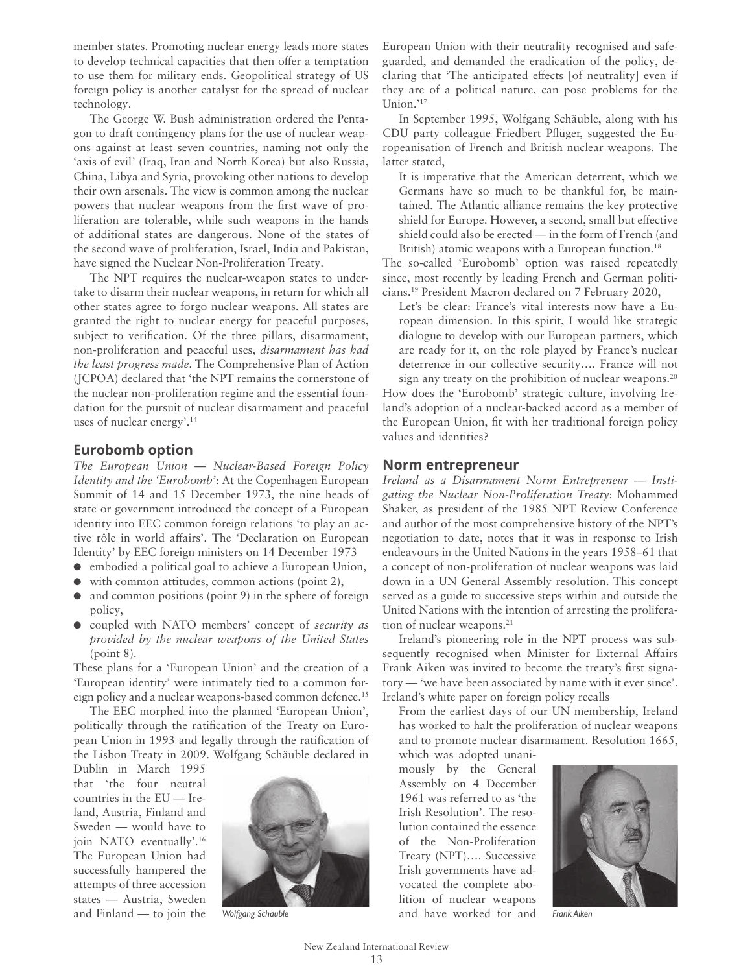member states. Promoting nuclear energy leads more states to develop technical capacities that then offer a temptation to use them for military ends. Geopolitical strategy of US foreign policy is another catalyst for the spread of nuclear technology.

The George W. Bush administration ordered the Pentagon to draft contingency plans for the use of nuclear weapons against at least seven countries, naming not only the 'axis of evil' (Iraq, Iran and North Korea) but also Russia, China, Libya and Syria, provoking other nations to develop their own arsenals. The view is common among the nuclear powers that nuclear weapons from the first wave of proliferation are tolerable, while such weapons in the hands of additional states are dangerous. None of the states of the second wave of proliferation, Israel, India and Pakistan, have signed the Nuclear Non-Proliferation Treaty.

The NPT requires the nuclear-weapon states to undertake to disarm their nuclear weapons, in return for which all other states agree to forgo nuclear weapons. All states are granted the right to nuclear energy for peaceful purposes, subject to verification. Of the three pillars, disarmament, non-proliferation and peaceful uses, *disarmament has had the least progress made*. The Comprehensive Plan of Action (JCPOA) declared that 'the NPT remains the cornerstone of the nuclear non-proliferation regime and the essential foundation for the pursuit of nuclear disarmament and peaceful uses of nuclear energy'.<sup>14</sup>

#### **Eurobomb option**

*The European Union — Nuclear-Based Foreign Policy Identity and the 'Eurobomb'*: At the Copenhagen European Summit of 14 and 15 December 1973, the nine heads of state or government introduced the concept of a European identity into EEC common foreign relations 'to play an active rôle in world affairs'. The 'Declaration on European Identity' by EEC foreign ministers on 14 December 1973

- O embodied a political goal to achieve a European Union,
- O with common attitudes, common actions (point 2),
- $\bullet$  and common positions (point 9) in the sphere of foreign policy,
- O coupled with NATO members' concept of *security as provided by the nuclear weapons of the United States*  (point 8).

These plans for a 'European Union' and the creation of a 'European identity' were intimately tied to a common foreign policy and a nuclear weapons-based common defence.<sup>15</sup>

The EEC morphed into the planned 'European Union', politically through the ratification of the Treaty on European Union in 1993 and legally through the ratification of the Lisbon Treaty in 2009. Wolfgang Schäuble declared in

Dublin in March 1995 that 'the four neutral countries in the EU — Ireland, Austria, Finland and Sweden — would have to join NATO eventually'.<sup>16</sup> The European Union had successfully hampered the attempts of three accession states — Austria, Sweden and Finland — to join the



European Union with their neutrality recognised and safeguarded, and demanded the eradication of the policy, declaring that 'The anticipated effects [of neutrality] even if they are of a political nature, can pose problems for the Union.'<sup>17</sup>

In September 1995, Wolfgang Schäuble, along with his CDU party colleague Friedbert Pflüger, suggested the Europeanisation of French and British nuclear weapons. The latter stated,

 It is imperative that the American deterrent, which we Germans have so much to be thankful for, be maintained. The Atlantic alliance remains the key protective shield for Europe. However, a second, small but effective shield could also be erected — in the form of French (and British) atomic weapons with a European function.<sup>18</sup>

The so-called 'Eurobomb' option was raised repeatedly since, most recently by leading French and German politicians.19 President Macron declared on 7 February 2020,

 Let's be clear: France's vital interests now have a European dimension. In this spirit, I would like strategic dialogue to develop with our European partners, which are ready for it, on the role played by France's nuclear deterrence in our collective security…. France will not

sign any treaty on the prohibition of nuclear weapons.<sup>20</sup> How does the 'Eurobomb' strategic culture, involving Ireland's adoption of a nuclear-backed accord as a member of the European Union, fit with her traditional foreign policy values and identities?

#### **Norm entrepreneur**

*Ireland as a Disarmament Norm Entrepreneur — Instigating the Nuclear Non-Proliferation Treaty*: Mohammed Shaker, as president of the 1985 NPT Review Conference and author of the most comprehensive history of the NPT's negotiation to date, notes that it was in response to Irish endeavours in the United Nations in the years 1958–61 that a concept of non-proliferation of nuclear weapons was laid down in a UN General Assembly resolution. This concept served as a guide to successive steps within and outside the United Nations with the intention of arresting the proliferation of nuclear weapons.<sup>21</sup>

Ireland's pioneering role in the NPT process was subsequently recognised when Minister for External Affairs Frank Aiken was invited to become the treaty's first signatory — 'we have been associated by name with it ever since'. Ireland's white paper on foreign policy recalls

 From the earliest days of our UN membership, Ireland has worked to halt the proliferation of nuclear weapons and to promote nuclear disarmament. Resolution 1665,

which was adopted unanimously by the General Assembly on 4 December 1961 was referred to as 'the Irish Resolution'. The resolution contained the essence of the Non-Proliferation Treaty (NPT)…. Successive Irish governments have advocated the complete abolition of nuclear weapons Wolfgang Schäuble *and have worked for and Frank Aiken* 

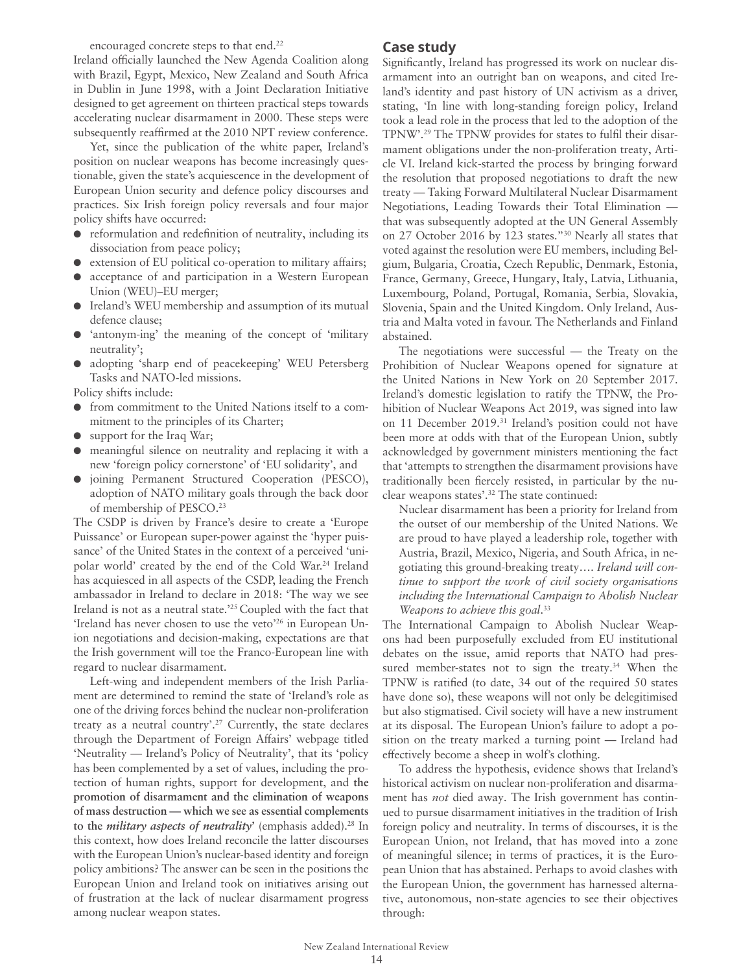encouraged concrete steps to that end.<sup>22</sup>

Ireland officially launched the New Agenda Coalition along with Brazil, Egypt, Mexico, New Zealand and South Africa in Dublin in June 1998, with a Joint Declaration Initiative designed to get agreement on thirteen practical steps towards accelerating nuclear disarmament in 2000. These steps were subsequently reaffirmed at the 2010 NPT review conference.

Yet, since the publication of the white paper, Ireland's position on nuclear weapons has become increasingly questionable, given the state's acquiescence in the development of European Union security and defence policy discourses and practices. Six Irish foreign policy reversals and four major policy shifts have occurred:

- O reformulation and redefinition of neutrality, including its dissociation from peace policy;
- $\bullet$  extension of EU political co-operation to military affairs;
- O acceptance of and participation in a Western European Union (WEU)–EU merger;
- Ireland's WEU membership and assumption of its mutual defence clause;
- O 'antonym-ing' the meaning of the concept of 'military neutrality';
- O adopting 'sharp end of peacekeeping' WEU Petersberg Tasks and NATO-led missions.

Policy shifts include:

- from commitment to the United Nations itself to a commitment to the principles of its Charter;
- O support for the Iraq War;
- meaningful silence on neutrality and replacing it with a new 'foreign policy cornerstone' of 'EU solidarity', and
- O joining Permanent Structured Cooperation (PESCO), adoption of NATO military goals through the back door of membership of PESCO.<sup>23</sup>

The CSDP is driven by France's desire to create a 'Europe Puissance' or European super-power against the 'hyper puissance' of the United States in the context of a perceived 'unipolar world' created by the end of the Cold War.<sup>24</sup> Ireland has acquiesced in all aspects of the CSDP, leading the French ambassador in Ireland to declare in 2018: 'The way we see Ireland is not as a neutral state.'25 Coupled with the fact that 'Ireland has never chosen to use the veto'26 in European Union negotiations and decision-making, expectations are that the Irish government will toe the Franco-European line with regard to nuclear disarmament.

Left-wing and independent members of the Irish Parliament are determined to remind the state of 'Ireland's role as one of the driving forces behind the nuclear non-proliferation treaty as a neutral country'.27 Currently, the state declares through the Department of Foreign Affairs' webpage titled 'Neutrality — Ireland's Policy of Neutrality', that its 'policy has been complemented by a set of values, including the protection of human rights, support for development, and **the promotion of disarmament and the elimination of weapons of mass destruction — which we see as essential complements to the** *military aspects of neutrality***'** (emphasis added).28 In this context, how does Ireland reconcile the latter discourses with the European Union's nuclear-based identity and foreign policy ambitions? The answer can be seen in the positions the European Union and Ireland took on initiatives arising out of frustration at the lack of nuclear disarmament progress among nuclear weapon states.

## **Case study**

Significantly, Ireland has progressed its work on nuclear disarmament into an outright ban on weapons, and cited Ireland's identity and past history of UN activism as a driver, stating, 'In line with long-standing foreign policy, Ireland took a lead role in the process that led to the adoption of the TPNW'.29 The TPNW provides for states to fulfil their disarmament obligations under the non-proliferation treaty, Article VI. Ireland kick-started the process by bringing forward the resolution that proposed negotiations to draft the new treaty — Taking Forward Multilateral Nuclear Disarmament Negotiations, Leading Towards their Total Elimination that was subsequently adopted at the UN General Assembly on 27 October 2016 by 123 states."30 Nearly all states that voted against the resolution were EU members, including Belgium, Bulgaria, Croatia, Czech Republic, Denmark, Estonia, France, Germany, Greece, Hungary, Italy, Latvia, Lithuania, Luxembourg, Poland, Portugal, Romania, Serbia, Slovakia, Slovenia, Spain and the United Kingdom. Only Ireland, Austria and Malta voted in favour. The Netherlands and Finland abstained.

The negotiations were successful — the Treaty on the Prohibition of Nuclear Weapons opened for signature at the United Nations in New York on 20 September 2017. Ireland's domestic legislation to ratify the TPNW, the Prohibition of Nuclear Weapons Act 2019, was signed into law on 11 December 2019.<sup>31</sup> Ireland's position could not have been more at odds with that of the European Union, subtly acknowledged by government ministers mentioning the fact that 'attempts to strengthen the disarmament provisions have traditionally been fiercely resisted, in particular by the nuclear weapons states'.32 The state continued:

 Nuclear disarmament has been a priority for Ireland from the outset of our membership of the United Nations. We are proud to have played a leadership role, together with Austria, Brazil, Mexico, Nigeria, and South Africa, in negotiating this ground-breaking treaty…. *Ireland will continue to support the work of civil society organisations including the International Campaign to Abolish Nuclear Weapons to achieve this goal*. 33

The International Campaign to Abolish Nuclear Weapons had been purposefully excluded from EU institutional debates on the issue, amid reports that NATO had pressured member-states not to sign the treaty.<sup>34</sup> When the TPNW is ratified (to date, 34 out of the required 50 states have done so), these weapons will not only be delegitimised but also stigmatised. Civil society will have a new instrument at its disposal. The European Union's failure to adopt a position on the treaty marked a turning point — Ireland had effectively become a sheep in wolf's clothing.

To address the hypothesis, evidence shows that Ireland's historical activism on nuclear non-proliferation and disarmament has *not* died away. The Irish government has continued to pursue disarmament initiatives in the tradition of Irish foreign policy and neutrality. In terms of discourses, it is the European Union, not Ireland, that has moved into a zone of meaningful silence; in terms of practices, it is the European Union that has abstained. Perhaps to avoid clashes with the European Union, the government has harnessed alternative, autonomous, non-state agencies to see their objectives through: